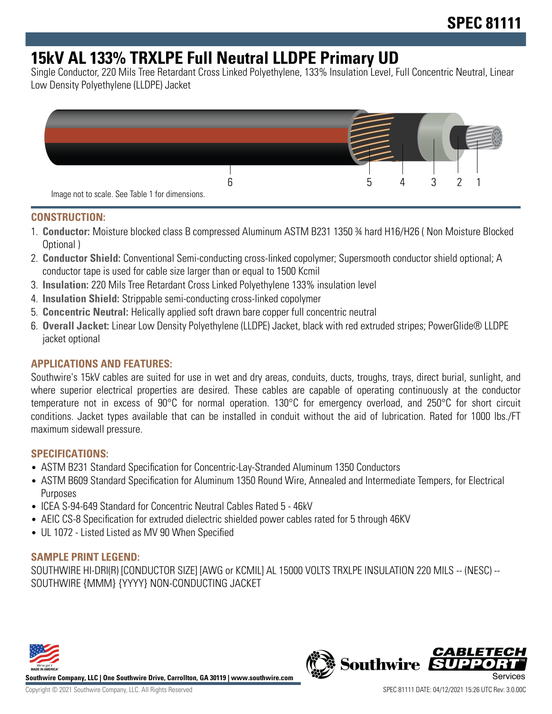# **15kV AL 133% TRXLPE Full Neutral LLDPE Primary UD**

Single Conductor, 220 Mils Tree Retardant Cross Linked Polyethylene, 133% Insulation Level, Full Concentric Neutral, Linear Low Density Polyethylene (LLDPE) Jacket



#### **CONSTRUCTION:**

- 1. **Conductor:** Moisture blocked class B compressed Aluminum ASTM B231 1350 ¾ hard H16/H26 ( Non Moisture Blocked Optional )
- 2. **Conductor Shield:** Conventional Semi-conducting cross-linked copolymer; Supersmooth conductor shield optional; A conductor tape is used for cable size larger than or equal to 1500 Kcmil
- 3. **Insulation:** 220 Mils Tree Retardant Cross Linked Polyethylene 133% insulation level
- 4. **Insulation Shield:** Strippable semi-conducting cross-linked copolymer
- 5. **Concentric Neutral:** Helically applied soft drawn bare copper full concentric neutral
- 6. **Overall Jacket:** Linear Low Density Polyethylene (LLDPE) Jacket, black with red extruded stripes; PowerGlide® LLDPE jacket optional

### **APPLICATIONS AND FEATURES:**

Southwire's 15kV cables are suited for use in wet and dry areas, conduits, ducts, troughs, trays, direct burial, sunlight, and where superior electrical properties are desired. These cables are capable of operating continuously at the conductor temperature not in excess of 90°C for normal operation. 130°C for emergency overload, and 250°C for short circuit conditions. Jacket types available that can be installed in conduit without the aid of lubrication. Rated for 1000 lbs./FT maximum sidewall pressure.

#### **SPECIFICATIONS:**

- ASTM B231 Standard Specification for Concentric-Lay-Stranded Aluminum 1350 Conductors
- ASTM B609 Standard Specification for Aluminum 1350 Round Wire, Annealed and Intermediate Tempers, for Electrical Purposes
- ICEA S-94-649 Standard for Concentric Neutral Cables Rated 5 46kV
- AEIC CS-8 Specification for extruded dielectric shielded power cables rated for 5 through 46KV
- UL 1072 Listed Listed as MV 90 When Specified

### **SAMPLE PRINT LEGEND:**

SOUTHWIRE HI-DRI(R) [CONDUCTOR SIZE] [AWG or KCMIL] AL 15000 VOLTS TRXLPE INSULATION 220 MILS -- (NESC) -- SOUTHWIRE {MMM} {YYYY} NON-CONDUCTING JACKET



**Southwire Company, LLC | One Southwire Drive, Carrollton, GA 30119 | www.southwire.com**

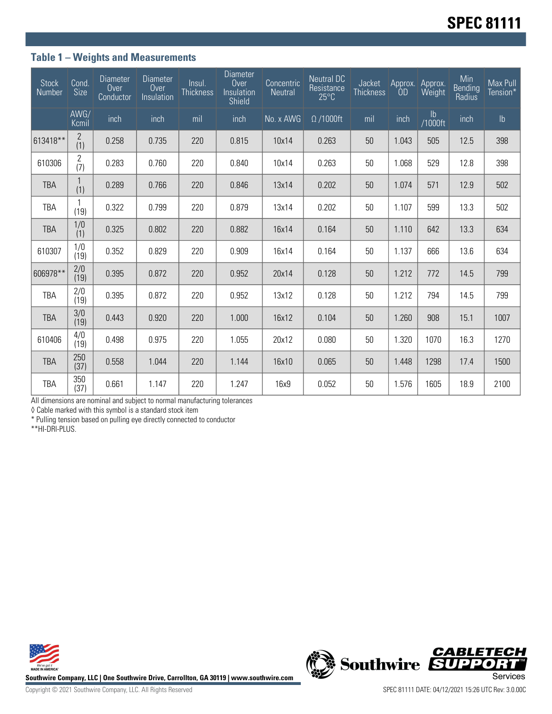### **Table 1 – Weights and Measurements**

| <b>Stock</b><br>Number | Cond.<br>Size         | <b>Diameter</b><br>Over<br>Conductor | <b>Diameter</b><br>Over<br>Insulation | Insul.<br><b>Thickness</b> | <b>Diameter</b><br>Over<br>Insulation<br><b>Shield</b> | Concentric<br><b>Neutral</b> | <b>Neutral DC</b><br>Resistance<br>$25^{\circ}$ C | <b>Jacket</b><br><b>Thickness</b> | Approx.<br>0 <sub>D</sub> | Approx.<br>Weight | Min<br><b>Bending</b><br>Radius | Max Pull<br>Tension* |
|------------------------|-----------------------|--------------------------------------|---------------------------------------|----------------------------|--------------------------------------------------------|------------------------------|---------------------------------------------------|-----------------------------------|---------------------------|-------------------|---------------------------------|----------------------|
|                        | AWG/<br>Kcmil         | inch                                 | inch                                  | mil                        | inch                                                   | No. x AWG                    | $\Omega$ /1000ft                                  | mil                               | inch                      | Ib<br>/1000ft     | inch                            | $\mathsf{lb}$        |
| 613418**               | $\overline{2}$<br>(1) | 0.258                                | 0.735                                 | 220                        | 0.815                                                  | 10x14                        | 0.263                                             | 50                                | 1.043                     | 505               | 12.5                            | 398                  |
| 610306                 | $\overline{2}$<br>(7) | 0.283                                | 0.760                                 | 220                        | 0.840                                                  | 10x14                        | 0.263                                             | 50                                | 1.068                     | 529               | 12.8                            | 398                  |
| <b>TBA</b>             | (1)                   | 0.289                                | 0.766                                 | 220                        | 0.846                                                  | 13x14                        | 0.202                                             | 50                                | 1.074                     | 571               | 12.9                            | 502                  |
| TBA                    | 1<br>(19)             | 0.322                                | 0.799                                 | 220                        | 0.879                                                  | 13x14                        | 0.202                                             | 50                                | 1.107                     | 599               | 13.3                            | 502                  |
| <b>TBA</b>             | 1/0<br>(1)            | 0.325                                | 0.802                                 | 220                        | 0.882                                                  | 16x14                        | 0.164                                             | 50                                | 1.110                     | 642               | 13.3                            | 634                  |
| 610307                 | 1/0<br>(19)           | 0.352                                | 0.829                                 | 220                        | 0.909                                                  | 16x14                        | 0.164                                             | 50                                | 1.137                     | 666               | 13.6                            | 634                  |
| 606978**               | 2/0<br>(19)           | 0.395                                | 0.872                                 | 220                        | 0.952                                                  | 20x14                        | 0.128                                             | 50                                | 1.212                     | 772               | 14.5                            | 799                  |
| TBA                    | 2/0<br>(19)           | 0.395                                | 0.872                                 | 220                        | 0.952                                                  | 13x12                        | 0.128                                             | 50                                | 1.212                     | 794               | 14.5                            | 799                  |
| <b>TBA</b>             | 3/0<br>(19)           | 0.443                                | 0.920                                 | 220                        | 1.000                                                  | 16x12                        | 0.104                                             | 50                                | 1.260                     | 908               | 15.1                            | 1007                 |
| 610406                 | 4/0<br>(19)           | 0.498                                | 0.975                                 | 220                        | 1.055                                                  | 20x12                        | 0.080                                             | 50                                | 1.320                     | 1070              | 16.3                            | 1270                 |
| <b>TBA</b>             | 250<br>(37)           | 0.558                                | 1.044                                 | 220                        | 1.144                                                  | 16x10                        | 0.065                                             | 50                                | 1.448                     | 1298              | 17.4                            | 1500                 |
| <b>TBA</b>             | 350<br>(37)           | 0.661                                | 1.147                                 | 220                        | 1.247                                                  | 16x9                         | 0.052                                             | 50                                | 1.576                     | 1605              | 18.9                            | 2100                 |

All dimensions are nominal and subject to normal manufacturing tolerances

◊ Cable marked with this symbol is a standard stock item

\* Pulling tension based on pulling eye directly connected to conductor

\*\*HI-DRI-PLUS.





Copyright © 2021 Southwire Company, LLC. All Rights Reserved SPEC 81111 DATE: 04/12/2021 15:26 UTC Rev: 3.0.00C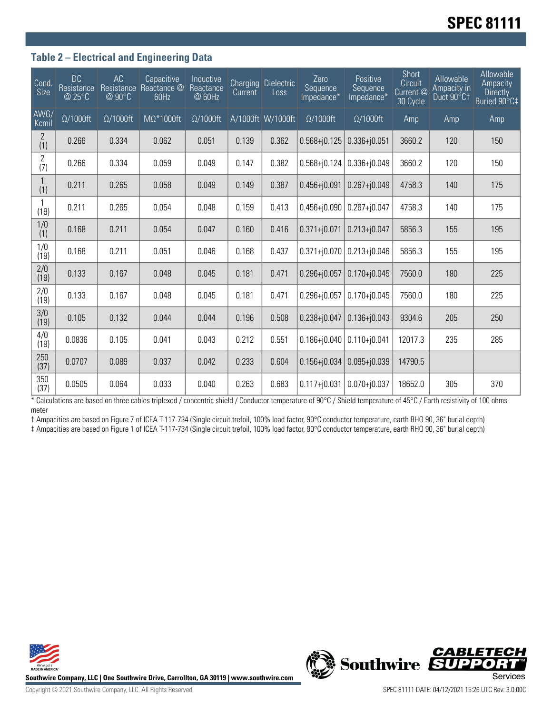# **SPEC 81111**

#### **Table 2 – Electrical and Engineering Data**

| Cond.<br>Size         | <b>DC</b><br>Resistance<br>@ 25°C | <b>AC</b><br>Resistance<br>@ 90°C | Capacitive<br>Reactance @<br>60Hz | Inductive<br>Reactance<br>@ 60Hz | <b>Current</b> | Charging Dielectric<br>Loss | Zero<br>Sequence<br>Impedance* | Positive<br>Sequence<br>Impedance* | Short<br>Circuit<br>Current @<br>30 Cycle | Allowable<br>Ampacity in<br>Duct 90°C1 | Allowable<br>Ampacity<br><b>Directly</b><br>Buried 90°C‡ |
|-----------------------|-----------------------------------|-----------------------------------|-----------------------------------|----------------------------------|----------------|-----------------------------|--------------------------------|------------------------------------|-------------------------------------------|----------------------------------------|----------------------------------------------------------|
| AWG/<br>Kcmil         | $\Omega/1000$ ft                  | $\Omega/1000$ ft                  | $M\Omega^*1000$ ft                | $\Omega/1000$ ft                 |                | A/1000ft W/1000ft           | $\Omega/1000$ ft               | $\Omega/1000$ ft                   | Amp                                       | Amp                                    | Amp                                                      |
| $\overline{2}$<br>(1) | 0.266                             | 0.334                             | 0.062                             | 0.051                            | 0.139          | 0.362                       | $0.568 + j0.125$               | $0.336 + j0.051$                   | 3660.2                                    | 120                                    | 150                                                      |
| $\overline{2}$<br>(7) | 0.266                             | 0.334                             | 0.059                             | 0.049                            | 0.147          | 0.382                       | $0.568 + j0.124$               | $0.336 + j0.049$                   | 3660.2                                    | 120                                    | 150                                                      |
| (1)                   | 0.211                             | 0.265                             | 0.058                             | 0.049                            | 0.149          | 0.387                       | $0.456 + j0.091$               | $0.267 + j0.049$                   | 4758.3                                    | 140                                    | 175                                                      |
| (19)                  | 0.211                             | 0.265                             | 0.054                             | 0.048                            | 0.159          | 0.413                       | $0.456 + j0.090$               | $0.267 + 0.047$                    | 4758.3                                    | 140                                    | 175                                                      |
| 1/0<br>(1)            | 0.168                             | 0.211                             | 0.054                             | 0.047                            | 0.160          | 0.416                       | $0.371 + j0.071$               | $0.213 + j0.047$                   | 5856.3                                    | 155                                    | 195                                                      |
| 1/0<br>(19)           | 0.168                             | 0.211                             | 0.051                             | 0.046                            | 0.168          | 0.437                       | $0.371 + j0.070$               | $0.213 + 0.046$                    | 5856.3                                    | 155                                    | 195                                                      |
| 2/0<br>(19)           | 0.133                             | 0.167                             | 0.048                             | 0.045                            | 0.181          | 0.471                       | $0.296 + j0.057$               | $0.170 + j0.045$                   | 7560.0                                    | 180                                    | 225                                                      |
| 2/0<br>(19)           | 0.133                             | 0.167                             | 0.048                             | 0.045                            | 0.181          | 0.471                       | $0.296 + j0.057$               | $0.170 + j0.045$                   | 7560.0                                    | 180                                    | 225                                                      |
| 3/0<br>(19)           | 0.105                             | 0.132                             | 0.044                             | 0.044                            | 0.196          | 0.508                       | $0.238 + j0.047$               | $0.136 + j0.043$                   | 9304.6                                    | 205                                    | 250                                                      |
| 4/0<br>(19)           | 0.0836                            | 0.105                             | 0.041                             | 0.043                            | 0.212          | 0.551                       | $0.186 + j0.040$               | $0.110 + j0.041$                   | 12017.3                                   | 235                                    | 285                                                      |
| 250<br>(37)           | 0.0707                            | 0.089                             | 0.037                             | 0.042                            | 0.233          | 0.604                       | $0.156 + j0.034$               | $0.095 + j0.039$                   | 14790.5                                   |                                        |                                                          |
| 350<br>(37)           | 0.0505                            | 0.064                             | 0.033                             | 0.040                            | 0.263          | 0.683                       | $0.117 + j0.031$               | $0.070 + j0.037$                   | 18652.0                                   | 305                                    | 370                                                      |

\* Calculations are based on three cables triplexed / concentric shield / Conductor temperature of 90°C / Shield temperature of 45°C / Earth resistivity of 100 ohmsmeter

† Ampacities are based on Figure 7 of ICEA T-117-734 (Single circuit trefoil, 100% load factor, 90°C conductor temperature, earth RHO 90, 36" burial depth) ‡ Ampacities are based on Figure 1 of ICEA T-117-734 (Single circuit trefoil, 100% load factor, 90°C conductor temperature, earth RHO 90, 36" burial depth)



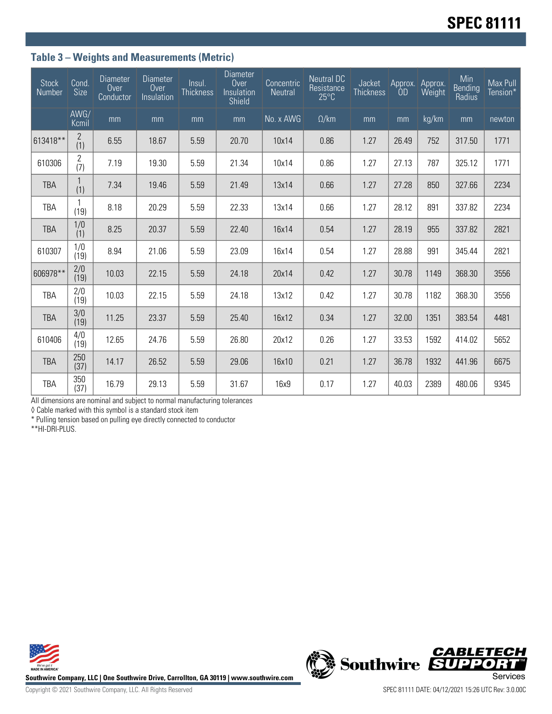## **Table 3 – Weights and Measurements (Metric)**

| <b>Stock</b><br>Number | Cond.<br><b>Size</b>  | <b>Diameter</b><br>Over<br>Conductor | <b>Diameter</b><br>Over<br>Insulation | Insul.<br><b>Thickness</b> | <b>Diameter</b><br>Over<br>Insulation<br>Shield | Concentric<br><b>Neutral</b> | <b>Neutral DC</b><br>Resistance<br>$25^{\circ}$ C | Jacket<br><b>Thickness</b> | Approx.<br>OD | Approx.<br>Weight | Min<br><b>Bending</b><br>Radius | Max Pull<br>Tension* |
|------------------------|-----------------------|--------------------------------------|---------------------------------------|----------------------------|-------------------------------------------------|------------------------------|---------------------------------------------------|----------------------------|---------------|-------------------|---------------------------------|----------------------|
|                        | AWG/<br>Kcmil         | mm                                   | mm                                    | mm                         | mm                                              | No. x AWG                    | $\Omega$ /km                                      | mm                         | mm            | kg/km             | mm                              | newton               |
| 613418**               | $\overline{c}$<br>(1) | 6.55                                 | 18.67                                 | 5.59                       | 20.70                                           | 10x14                        | 0.86                                              | 1.27                       | 26.49         | 752               | 317.50                          | 1771                 |
| 610306                 | $\mathbf{2}$<br>(7)   | 7.19                                 | 19.30                                 | 5.59                       | 21.34                                           | 10x14                        | 0.86                                              | 1.27                       | 27.13         | 787               | 325.12                          | 1771                 |
| <b>TBA</b>             | 1<br>(1)              | 7.34                                 | 19.46                                 | 5.59                       | 21.49                                           | 13x14                        | 0.66                                              | 1.27                       | 27.28         | 850               | 327.66                          | 2234                 |
| <b>TBA</b>             | 1<br>(19)             | 8.18                                 | 20.29                                 | 5.59                       | 22.33                                           | 13x14                        | 0.66                                              | 1.27                       | 28.12         | 891               | 337.82                          | 2234                 |
| <b>TBA</b>             | 1/0<br>(1)            | 8.25                                 | 20.37                                 | 5.59                       | 22.40                                           | 16x14                        | 0.54                                              | 1.27                       | 28.19         | 955               | 337.82                          | 2821                 |
| 610307                 | 1/0<br>(19)           | 8.94                                 | 21.06                                 | 5.59                       | 23.09                                           | 16x14                        | 0.54                                              | 1.27                       | 28.88         | 991               | 345.44                          | 2821                 |
| 606978**               | 2/0<br>(19)           | 10.03                                | 22.15                                 | 5.59                       | 24.18                                           | 20x14                        | 0.42                                              | 1.27                       | 30.78         | 1149              | 368.30                          | 3556                 |
| <b>TBA</b>             | 2/0<br>(19)           | 10.03                                | 22.15                                 | 5.59                       | 24.18                                           | 13x12                        | 0.42                                              | 1.27                       | 30.78         | 1182              | 368.30                          | 3556                 |
| <b>TBA</b>             | 3/0<br>(19)           | 11.25                                | 23.37                                 | 5.59                       | 25.40                                           | 16x12                        | 0.34                                              | 1.27                       | 32.00         | 1351              | 383.54                          | 4481                 |
| 610406                 | 4/0<br>(19)           | 12.65                                | 24.76                                 | 5.59                       | 26.80                                           | 20x12                        | 0.26                                              | 1.27                       | 33.53         | 1592              | 414.02                          | 5652                 |
| <b>TBA</b>             | 250<br>(37)           | 14.17                                | 26.52                                 | 5.59                       | 29.06                                           | 16x10                        | 0.21                                              | 1.27                       | 36.78         | 1932              | 441.96                          | 6675                 |
| TBA                    | 350<br>(37)           | 16.79                                | 29.13                                 | 5.59                       | 31.67                                           | 16x9                         | 0.17                                              | 1.27                       | 40.03         | 2389              | 480.06                          | 9345                 |

All dimensions are nominal and subject to normal manufacturing tolerances

◊ Cable marked with this symbol is a standard stock item

\* Pulling tension based on pulling eye directly connected to conductor

\*\*HI-DRI-PLUS.